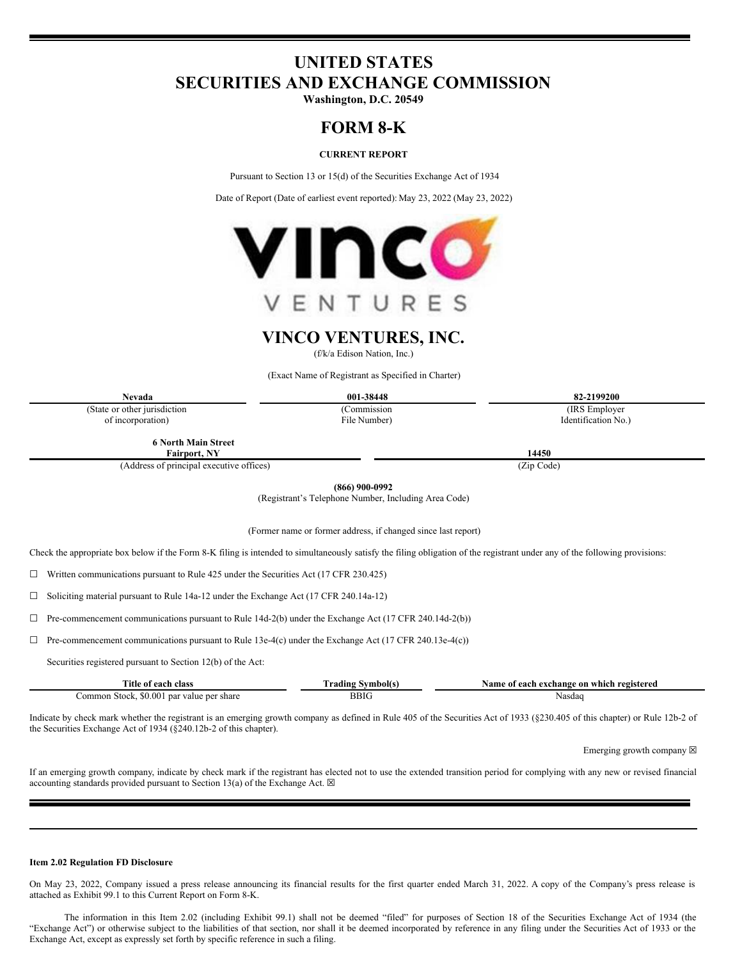# **UNITED STATES SECURITIES AND EXCHANGE COMMISSION**

**Washington, D.C. 20549**

# **FORM 8-K**

## **CURRENT REPORT**

Pursuant to Section 13 or 15(d) of the Securities Exchange Act of 1934

Date of Report (Date of earliest event reported): May 23, 2022 (May 23, 2022)



**VINCO VENTURES, INC.**

(f/k/a Edison Nation, Inc.)

(Exact Name of Registrant as Specified in Charter)

(State or other jurisdiction of incorporation)

(Commission File Number)

**Nevada 001-38448 82-2199200** (IRS Employer Identification No.)

**6 North Main Street Fairport, NY 14450**

(Address of principal executive offices) (Zip Code)

**(866) 900-0992**

(Registrant's Telephone Number, Including Area Code)

(Former name or former address, if changed since last report)

Check the appropriate box below if the Form 8-K filing is intended to simultaneously satisfy the filing obligation of the registrant under any of the following provisions:

 $\Box$  Written communications pursuant to Rule 425 under the Securities Act (17 CFR 230.425)

☐ Soliciting material pursuant to Rule 14a-12 under the Exchange Act (17 CFR 240.14a-12)

☐ Pre-commencement communications pursuant to Rule 14d-2(b) under the Exchange Act (17 CFR 240.14d-2(b))

☐ Pre-commencement communications pursuant to Rule 13e-4(c) under the Exchange Act (17 CFR 240.13e-4(c))

Securities registered pursuant to Section 12(b) of the Act:

| $\sim$<br>clas:<br>. Itle<br>ot each               | Symbol(s<br>`radıng . | 'each exchange on which registered<br>vame<br>: ot |  |  |  |
|----------------------------------------------------|-----------------------|----------------------------------------------------|--|--|--|
| \$0.001<br>Stock.<br>par value per share<br>ommon_ | <b>BBIG</b>           | Nasdaq                                             |  |  |  |

Indicate by check mark whether the registrant is an emerging growth company as defined in Rule 405 of the Securities Act of 1933 (§230.405 of this chapter) or Rule 12b-2 of the Securities Exchange Act of 1934 (§240.12b-2 of this chapter).

Emerging growth company  $\boxtimes$ 

If an emerging growth company, indicate by check mark if the registrant has elected not to use the extended transition period for complying with any new or revised financial accounting standards provided pursuant to Section 13(a) of the Exchange Act.  $\boxtimes$ 

#### **Item 2.02 Regulation FD Disclosure**

On May 23, 2022, Company issued a press release announcing its financial results for the first quarter ended March 31, 2022. A copy of the Company's press release is attached as Exhibit 99.1 to this Current Report on Form 8-K.

The information in this Item 2.02 (including Exhibit 99.1) shall not be deemed "filed" for purposes of Section 18 of the Securities Exchange Act of 1934 (the "Exchange Act") or otherwise subject to the liabilities of that section, nor shall it be deemed incorporated by reference in any filing under the Securities Act of 1933 or the Exchange Act, except as expressly set forth by specific reference in such a filing.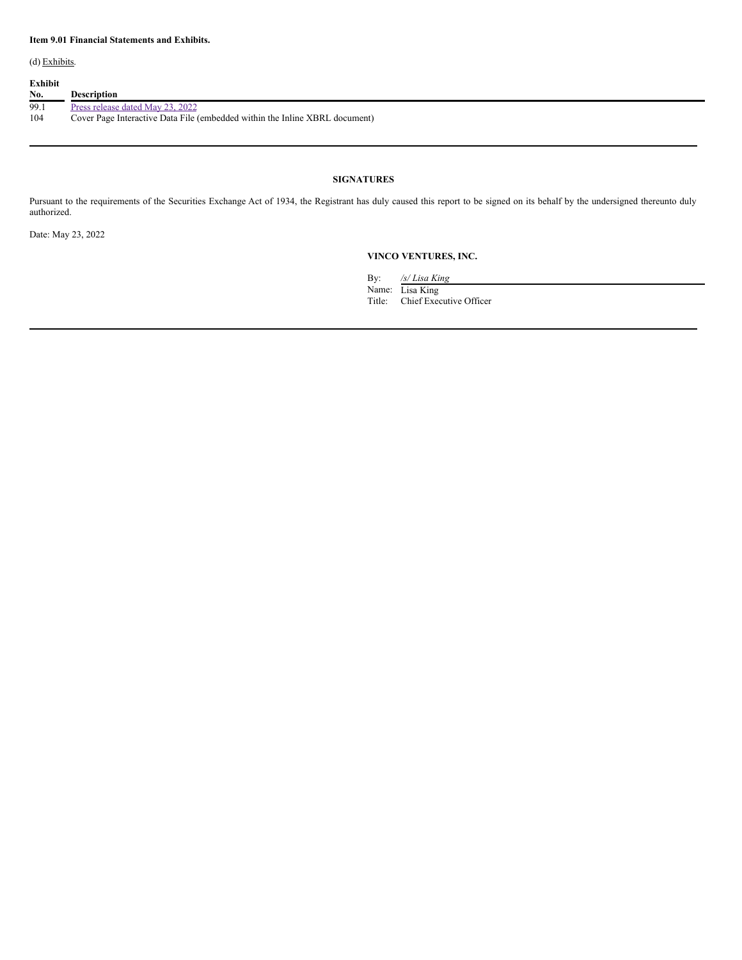(d) Exhibits.

| Exhibit<br>No. | <b>Description</b>                                                          |
|----------------|-----------------------------------------------------------------------------|
| 99.1           | Press release dated May 23, 2022                                            |
| 104            | Cover Page Interactive Data File (embedded within the Inline XBRL document) |

## **SIGNATURES**

Pursuant to the requirements of the Securities Exchange Act of 1934, the Registrant has duly caused this report to be signed on its behalf by the undersigned thereunto duly authorized.

Date: May 23, 2022

## **VINCO VENTURES, INC.**

By: */s/ Lisa King*

Name: Lisa King Title: Chief Executive Officer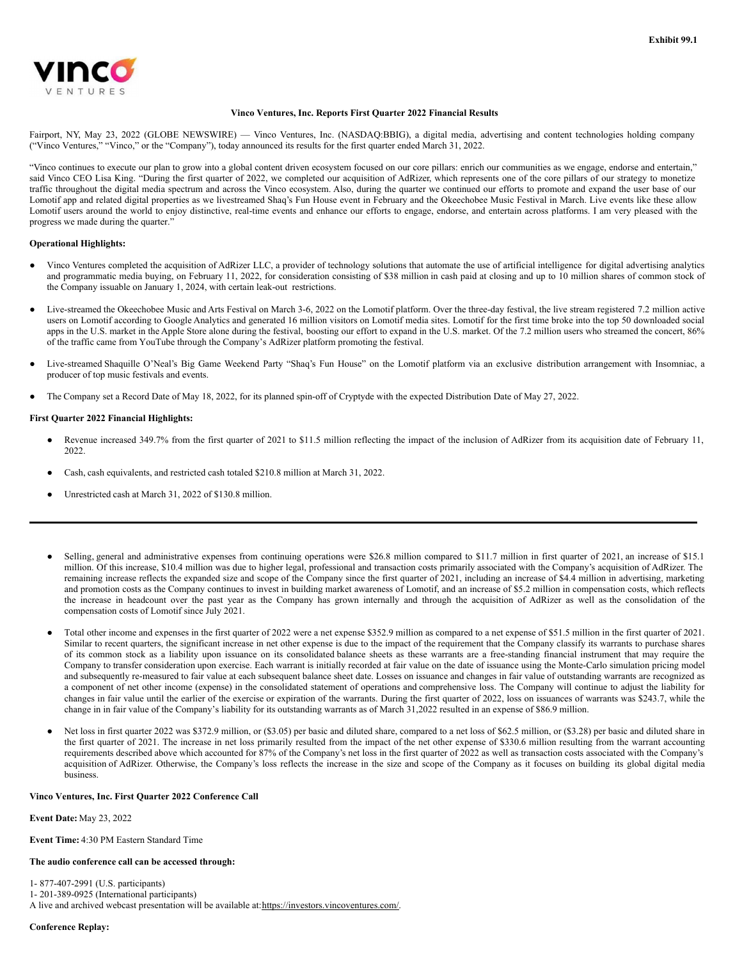

#### **Vinco Ventures, Inc. Reports First Quarter 2022 Financial Results**

Fairport, NY, May 23, 2022 (GLOBE NEWSWIRE) — Vinco Ventures, Inc. (NASDAQ:BBIG), a digital media, advertising and content technologies holding company ("Vinco Ventures," "Vinco," or the "Company"), today announced its results for the first quarter ended March 31, 2022.

"Vinco continues to execute our plan to grow into a global content driven ecosystem focused on our core pillars: enrich our communities as we engage, endorse and entertain," said Vinco CEO Lisa King. "During the first quarter of 2022, we completed our acquisition of AdRizer, which represents one of the core pillars of our strategy to monetize traffic throughout the digital media spectrum and across the Vinco ecosystem. Also, during the quarter we continued our efforts to promote and expand the user base of our Lomotif app and related digital properties as we livestreamed Shaq's Fun House event in February and the Okeechobee Music Festival in March. Live events like these allow Lomotif users around the world to enjoy distinctive, real-time events and enhance our efforts to engage, endorse, and entertain across platforms. I am very pleased with the progress we made during the quarter."

## **Operational Highlights:**

- Vinco Ventures completed the acquisition of AdRizer LLC, a provider of technology solutions that automate the use of artificial intelligence for digital advertising analytics and programmatic media buying, on February 11, 2022, for consideration consisting of \$38 million in cash paid at closing and up to 10 million shares of common stock of the Company issuable on January 1, 2024, with certain leak-out restrictions.
- Live-streamed the Okeechobee Music and Arts Festival on March 3-6, 2022 on the Lomotif platform. Over the three-day festival, the live stream registered 7.2 million active users on Lomotif according to Google Analytics and generated 16 million visitors on Lomotif media sites. Lomotif for the first time broke into the top 50 downloaded social apps in the U.S. market in the Apple Store alone during the festival, boosting our effort to expand in the U.S. market. Of the 7.2 million users who streamed the concert, 86% of the traffic came from YouTube through the Company's AdRizer platform promoting the festival.
- Live-streamed Shaquille O'Neal's Big Game Weekend Party "Shaq's Fun House" on the Lomotif platform via an exclusive distribution arrangement with Insomniac, a producer of top music festivals and events.
- The Company set a Record Date of May 18, 2022, for its planned spin-off of Cryptyde with the expected Distribution Date of May 27, 2022.

## **First Quarter 2022 Financial Highlights:**

- Revenue increased 349.7% from the first quarter of 2021 to \$11.5 million reflecting the impact of the inclusion of AdRizer from its acquisition date of February 11, 2022.
- Cash, cash equivalents, and restricted cash totaled \$210.8 million at March 31, 2022.
- Unrestricted cash at March 31, 2022 of \$130.8 million.
- Selling, general and administrative expenses from continuing operations were \$26.8 million compared to \$11.7 million in first quarter of 2021, an increase of \$15.1 million. Of this increase, \$10.4 million was due to higher legal, professional and transaction costs primarily associated with the Company's acquisition of AdRizer. The remaining increase reflects the expanded size and scope of the Company since the first quarter of 2021, including an increase of \$4.4 million in advertising, marketing and promotion costs as the Company continues to invest in building market awareness of Lomotif, and an increase of \$5.2 million in compensation costs, which reflects the increase in headcount over the past year as the Company has grown internally and through the acquisition of AdRizer as well as the consolidation of the compensation costs of Lomotif since July 2021.
- Total other income and expenses in the first quarter of 2022 were a net expense \$352.9 million as compared to a net expense of \$51.5 million in the first quarter of 2021. Similar to recent quarters, the significant increase in net other expense is due to the impact of the requirement that the Company classify its warrants to purchase shares of its common stock as a liability upon issuance on its consolidated balance sheets as these warrants are a free-standing financial instrument that may require the Company to transfer consideration upon exercise. Each warrant is initially recorded at fair value on the date of issuance using the Monte-Carlo simulation pricing model and subsequently re-measured to fair value at each subsequent balance sheet date. Losses on issuance and changes in fair value of outstanding warrants are recognized as a component of net other income (expense) in the consolidated statement of operations and comprehensive loss. The Company will continue to adjust the liability for changes in fair value until the earlier of the exercise or expiration of the warrants. During the first quarter of 2022, loss on issuances of warrants was \$243.7, while the change in in fair value of the Company's liability for its outstanding warrants as of March 31,2022 resulted in an expense of \$86.9 million.
- Net loss in first quarter 2022 was \$372.9 million, or (\$3.05) per basic and diluted share, compared to a net loss of \$62.5 million, or (\$3.28) per basic and diluted share in the first quarter of 2021. The increase in net loss primarily resulted from the impact of the net other expense of \$330.6 million resulting from the warrant accounting requirements described above which accounted for 87% of the Company's net loss in the first quarter of 2022 as well as transaction costs associated with the Company's acquisition of AdRizer. Otherwise, the Company's loss reflects the increase in the size and scope of the Company as it focuses on building its global digital media business.

#### **Vinco Ventures, Inc. First Quarter 2022 Conference Call**

**Event Date:** May 23, 2022

**Event Time:** 4:30 PM Eastern Standard Time

## **The audio conference call can be accessed through:**

1- 877-407-2991 (U.S. participants)

- 1- 201-389-0925 (International participants)
- A live and archived webcast presentation will be available at: https://investors.vincoventures.com/.

**Conference Replay:**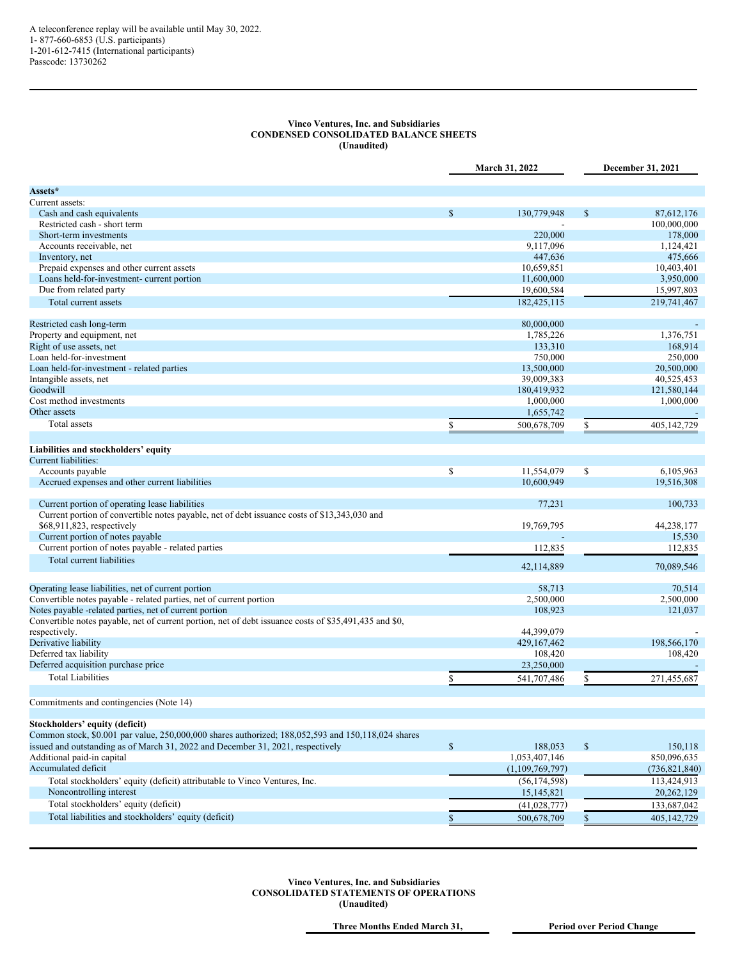## <span id="page-3-0"></span>**Vinco Ventures, Inc. and Subsidiaries CONDENSED CONSOLIDATED BALANCE SHEETS (Unaudited)**

|                                                                                                        | March 31, 2022 |                 |               | December 31, 2021 |  |
|--------------------------------------------------------------------------------------------------------|----------------|-----------------|---------------|-------------------|--|
| Assets*                                                                                                |                |                 |               |                   |  |
| Current assets:                                                                                        |                |                 |               |                   |  |
| Cash and cash equivalents                                                                              | $\mathbf{s}$   | 130,779,948     | \$            | 87,612,176        |  |
| Restricted cash - short term                                                                           |                |                 |               | 100,000,000       |  |
| Short-term investments                                                                                 |                | 220,000         |               | 178,000           |  |
| Accounts receivable, net                                                                               |                | 9,117,096       |               | 1,124,421         |  |
| Inventory, net                                                                                         |                | 447,636         |               | 475,666           |  |
| Prepaid expenses and other current assets                                                              |                | 10,659,851      |               | 10,403,401        |  |
| Loans held-for-investment- current portion                                                             |                | 11,600,000      |               | 3,950,000         |  |
| Due from related party                                                                                 |                | 19,600,584      |               | 15,997,803        |  |
| Total current assets                                                                                   |                | 182,425,115     |               | 219,741,467       |  |
|                                                                                                        |                |                 |               |                   |  |
| Restricted cash long-term                                                                              |                | 80,000,000      |               |                   |  |
| Property and equipment, net                                                                            |                | 1,785,226       |               | 1,376,751         |  |
| Right of use assets, net                                                                               |                | 133,310         |               | 168,914           |  |
| Loan held-for-investment                                                                               |                | 750,000         |               | 250,000           |  |
| Loan held-for-investment - related parties                                                             |                | 13,500,000      |               | 20,500,000        |  |
| Intangible assets, net                                                                                 |                | 39,009,383      |               | 40,525,453        |  |
| Goodwill                                                                                               |                | 180,419,932     |               | 121,580,144       |  |
| Cost method investments                                                                                |                | 1,000,000       |               | 1,000,000         |  |
| Other assets                                                                                           |                | 1,655,742       |               |                   |  |
| <b>Total</b> assets                                                                                    | \$             | 500,678,709     | \$            | 405,142,729       |  |
|                                                                                                        |                |                 |               |                   |  |
| Liabilities and stockholders' equity                                                                   |                |                 |               |                   |  |
| Current liabilities:                                                                                   |                |                 |               |                   |  |
| Accounts payable                                                                                       | \$             | 11,554,079      | $\mathsf{\$}$ | 6,105,963         |  |
| Accrued expenses and other current liabilities                                                         |                | 10,600,949      |               | 19,516,308        |  |
| Current portion of operating lease liabilities                                                         |                | 77,231          |               | 100.733           |  |
| Current portion of convertible notes payable, net of debt issuance costs of \$13,343,030 and           |                |                 |               |                   |  |
| \$68,911,823, respectively                                                                             |                | 19,769,795      |               | 44,238,177        |  |
| Current portion of notes payable                                                                       |                |                 |               | 15,530            |  |
| Current portion of notes payable - related parties                                                     |                | 112,835         |               | 112,835           |  |
| Total current liabilities                                                                              |                |                 |               |                   |  |
|                                                                                                        |                | 42,114,889      |               | 70,089,546        |  |
| Operating lease liabilities, net of current portion                                                    |                | 58,713          |               | 70,514            |  |
| Convertible notes payable - related parties, net of current portion                                    |                | 2,500,000       |               | 2,500,000         |  |
| Notes payable -related parties, net of current portion                                                 |                | 108,923         |               | 121,037           |  |
| Convertible notes payable, net of current portion, net of debt issuance costs of \$35,491,435 and \$0, |                |                 |               |                   |  |
| respectively.                                                                                          |                | 44,399,079      |               |                   |  |
| Derivative liability                                                                                   |                | 429, 167, 462   |               | 198,566,170       |  |
| Deferred tax liability                                                                                 |                | 108,420         |               | 108,420           |  |
| Deferred acquisition purchase price                                                                    |                | 23,250,000      |               |                   |  |
| <b>Total Liabilities</b>                                                                               |                |                 |               |                   |  |
|                                                                                                        | \$             | 541,707,486     | \$            | 271,455,687       |  |
| Commitments and contingencies (Note 14)                                                                |                |                 |               |                   |  |
| Stockholders' equity (deficit)                                                                         |                |                 |               |                   |  |
| Common stock, \$0.001 par value, 250,000,000 shares authorized; 188,052,593 and 150,118,024 shares     |                |                 |               |                   |  |
| issued and outstanding as of March 31, 2022 and December 31, 2021, respectively                        | $\mathbb{S}$   | 188,053         | $\mathcal{S}$ | 150,118           |  |
| Additional paid-in capital                                                                             |                | 1,053,407,146   |               | 850,096,635       |  |
| Accumulated deficit                                                                                    |                | (1,109,769,797) |               | (736, 821, 840)   |  |
| Total stockholders' equity (deficit) attributable to Vinco Ventures, Inc.                              |                | (56, 174, 598)  |               | 113,424,913       |  |
| Noncontrolling interest                                                                                |                |                 |               |                   |  |
|                                                                                                        |                | 15,145,821      |               | 20,262,129        |  |
| Total stockholders' equity (deficit)                                                                   |                | (41,028,777)    |               | 133,687,042       |  |
| Total liabilities and stockholders' equity (deficit)                                                   | \$             | 500,678,709     | \$            | 405,142,729       |  |
|                                                                                                        |                |                 |               |                   |  |

**Vinco Ventures, Inc. and Subsidiaries CONSOLIDATED STATEMENTS OF OPERATIONS (Unaudited)**

**Three Months Ended March 31, Period over Period Change**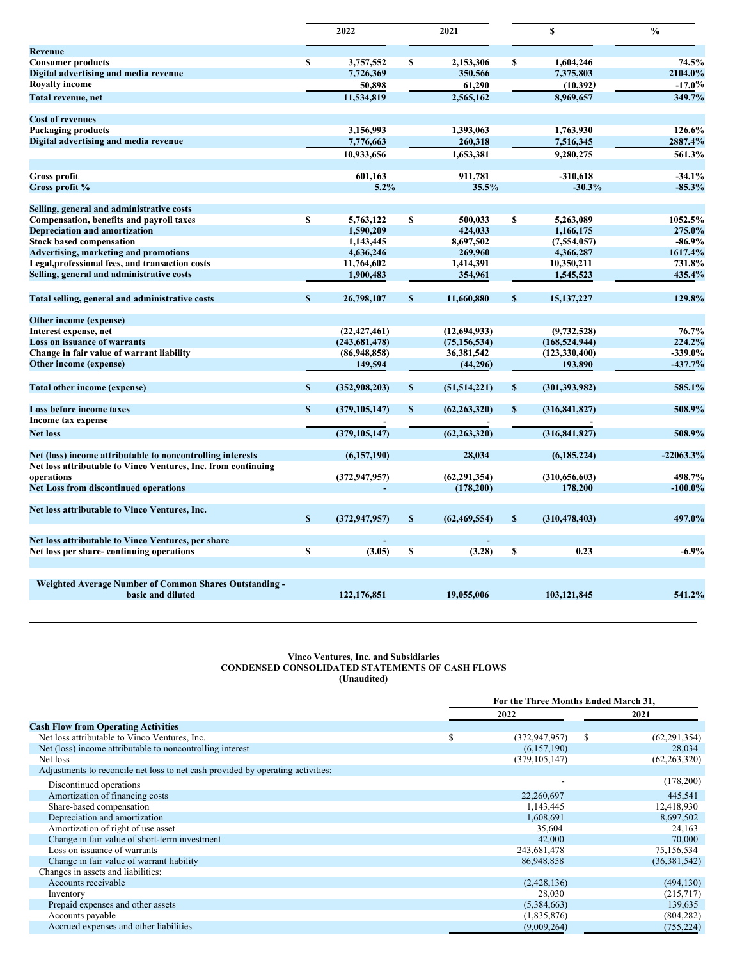|                                                               |              | 2022            |              | 2021           |              | \$              | $\frac{0}{0}$ |
|---------------------------------------------------------------|--------------|-----------------|--------------|----------------|--------------|-----------------|---------------|
| Revenue                                                       |              |                 |              |                |              |                 |               |
| <b>Consumer products</b>                                      | S            | 3,757,552       | S            | 2,153,306      | S            | 1,604,246       | 74.5%         |
| Digital advertising and media revenue                         |              | 7,726,369       |              | 350,566        |              | 7,375,803       | 2104.0%       |
| <b>Royalty income</b>                                         |              | 50,898          |              | 61,290         |              | (10, 392)       | $-17.0%$      |
| Total revenue, net                                            |              | 11.534.819      |              | 2,565,162      |              | 8.969.657       | 349.7%        |
| <b>Cost of revenues</b>                                       |              |                 |              |                |              |                 |               |
| Packaging products                                            |              | 3,156,993       |              | 1,393,063      |              | 1,763,930       | 126.6%        |
| Digital advertising and media revenue                         |              | 7,776,663       |              | 260,318        |              | 7,516,345       | 2887.4%       |
|                                                               |              | 10,933,656      |              | 1,653,381      |              | 9,280,275       | 561.3%        |
| <b>Gross profit</b>                                           |              | 601,163         |              | 911,781        |              | $-310,618$      | $-34.1%$      |
| Gross profit %                                                |              | 5.2%            |              | 35.5%          |              | $-30.3%$        | $-85.3%$      |
| Selling, general and administrative costs                     |              |                 |              |                |              |                 |               |
| <b>Compensation, benefits and payroll taxes</b>               | $\mathbf{s}$ | 5.763.122       | $\mathbf{s}$ | 500.033        | \$           | 5.263.089       | 1052.5%       |
| <b>Depreciation and amortization</b>                          |              | 1,590,209       |              | 424,033        |              | 1,166,175       | 275.0%        |
| <b>Stock based compensation</b>                               |              | 1,143,445       |              | 8,697,502      |              | (7, 554, 057)   | $-86.9%$      |
| <b>Advertising, marketing and promotions</b>                  |              | 4,636,246       |              | 269,960        |              | 4,366,287       | 1617.4%       |
| Legal, professional fees, and transaction costs               |              | 11,764,602      |              | 1,414,391      |              | 10,350,211      | 731.8%        |
| Selling, general and administrative costs                     |              | 1,900,483       |              | 354,961        |              | 1,545,523       | 435.4%        |
| Total selling, general and administrative costs               | $\mathbf S$  | 26,798,107      | S            | 11,660,880     | $\mathbf{s}$ | 15, 137, 227    | 129.8%        |
| Other income (expense)                                        |              |                 |              |                |              |                 |               |
| Interest expense, net                                         |              | (22, 427, 461)  |              | (12, 694, 933) |              | (9,732,528)     | 76.7%         |
| Loss on issuance of warrants                                  |              | (243, 681, 478) |              | (75, 156, 534) |              | (168, 524, 944) | 224.2%        |
| Change in fair value of warrant liability                     |              | (86,948,858)    |              | 36,381,542     |              | (123, 330, 400) | $-339.0%$     |
| Other income (expense)                                        |              | 149,594         |              | (44,296)       |              | 193,890         | $-437.7%$     |
| <b>Total other income (expense)</b>                           | $\mathbf{s}$ | (352,908,203)   | \$           | (51, 514, 221) | $\mathbf{s}$ | (301, 393, 982) | 585.1%        |
| Loss before income taxes                                      | $\mathbf{s}$ | (379, 105, 147) | $\mathbf{s}$ | (62, 263, 320) | $\mathbf{s}$ | (316, 841, 827) | 508.9%        |
| Income tax expense                                            |              |                 |              |                |              |                 |               |
| <b>Net loss</b>                                               |              | (379, 105, 147) |              | (62, 263, 320) |              | (316, 841, 827) | 508.9%        |
| Net (loss) income attributable to noncontrolling interests    |              | (6,157,190)     |              | 28,034         |              | (6, 185, 224)   | $-22063.3%$   |
| Net loss attributable to Vinco Ventures, Inc. from continuing |              |                 |              |                |              |                 |               |
| operations                                                    |              | (372, 947, 957) |              | (62, 291, 354) |              | (310, 656, 603) | 498.7%        |
| <b>Net Loss from discontinued operations</b>                  |              |                 |              | (178, 200)     |              | 178,200         | $-100.0\%$    |
| Net loss attributable to Vinco Ventures, Inc.                 |              |                 |              |                |              |                 |               |
|                                                               | $\mathbf{s}$ | (372, 947, 957) | $\mathbf S$  | (62, 469, 554) | $\mathbf{s}$ | (310, 478, 403) | 497.0%        |
| Net loss attributable to Vinco Ventures, per share            |              |                 |              |                |              |                 | $-6.9%$       |
| Net loss per share-continuing operations                      | S            | (3.05)          | \$           | (3.28)         | <b>S</b>     | 0.23            |               |
| <b>Weighted Average Number of Common Shares Outstanding -</b> |              |                 |              |                |              |                 |               |
| basic and diluted                                             |              | 122, 176, 851   |              | 19,055,006     |              | 103,121,845     | 541.2%        |
|                                                               |              |                 |              |                |              |                 |               |

### **Vinco Ventures, Inc. and Subsidiaries CONDENSED CONSOLIDATED STATEMENTS OF CASH FLOWS (Unaudited)**

|                                                                                 | For the Three Months Ended March 31, |                 |              |                |
|---------------------------------------------------------------------------------|--------------------------------------|-----------------|--------------|----------------|
|                                                                                 |                                      | 2022            | 2021         |                |
| <b>Cash Flow from Operating Activities</b>                                      |                                      |                 |              |                |
| Net loss attributable to Vinco Ventures, Inc.                                   | S                                    | (372, 947, 957) | <sup>S</sup> | (62, 291, 354) |
| Net (loss) income attributable to noncontrolling interest                       |                                      | (6,157,190)     |              | 28,034         |
| Net loss                                                                        |                                      | (379, 105, 147) |              | (62, 263, 320) |
| Adjustments to reconcile net loss to net cash provided by operating activities: |                                      |                 |              |                |
| Discontinued operations                                                         |                                      |                 |              | (178,200)      |
| Amortization of financing costs                                                 |                                      | 22,260,697      |              | 445,541        |
| Share-based compensation                                                        |                                      | 1,143,445       |              | 12,418,930     |
| Depreciation and amortization                                                   |                                      | 1,608,691       |              | 8,697,502      |
| Amortization of right of use asset                                              |                                      | 35,604          |              | 24,163         |
| Change in fair value of short-term investment                                   |                                      | 42,000          |              | 70,000         |
| Loss on issuance of warrants                                                    |                                      | 243,681,478     |              | 75,156,534     |
| Change in fair value of warrant liability                                       |                                      | 86,948,858      |              | (36, 381, 542) |
| Changes in assets and liabilities:                                              |                                      |                 |              |                |
| Accounts receivable                                                             |                                      | (2,428,136)     |              | (494, 130)     |
| Inventory                                                                       |                                      | 28,030          |              | (215,717)      |
| Prepaid expenses and other assets                                               |                                      | (5,384,663)     |              | 139,635        |
| Accounts payable                                                                |                                      | (1,835,876)     |              | (804, 282)     |
| Accrued expenses and other liabilities                                          |                                      | (9,009,264)     |              | (755, 224)     |